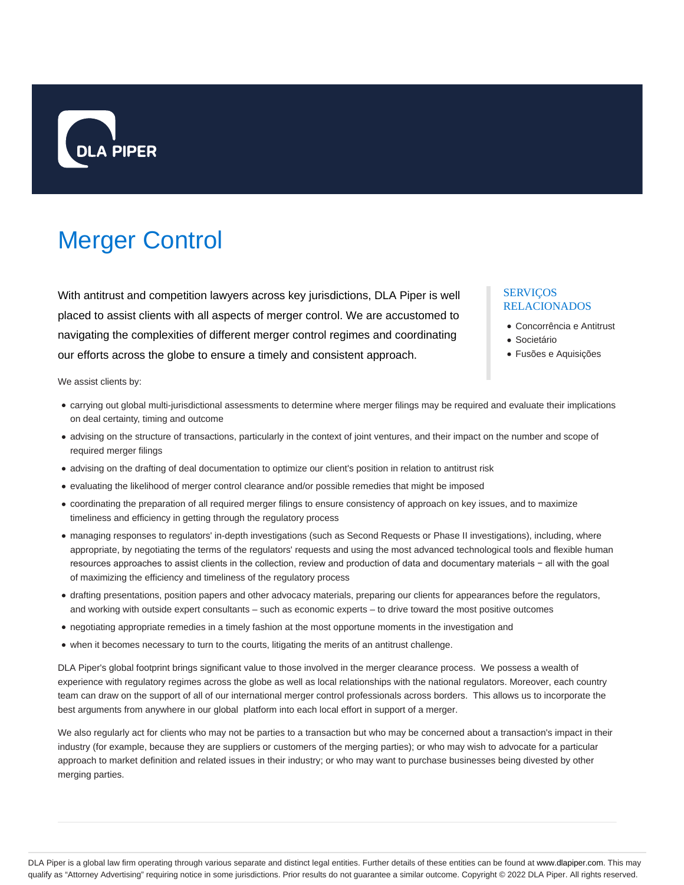

# Merger Control

With antitrust and competition lawyers across key jurisdictions, DLA Piper is well placed to assist clients with all aspects of merger control. We are accustomed to navigating the complexities of different merger control regimes and coordinating our efforts across the globe to ensure a timely and consistent approach.

### SERVIÇOS RELACIONADOS

- Concorrência e Antitrust
- **Societário**
- Fusões e Aquisições

We assist clients by:

- carrying out global multi-jurisdictional assessments to determine where merger filings may be required and evaluate their implications on deal certainty, timing and outcome
- advising on the structure of transactions, particularly in the context of joint ventures, and their impact on the number and scope of required merger filings
- advising on the drafting of deal documentation to optimize our client's position in relation to antitrust risk
- evaluating the likelihood of merger control clearance and/or possible remedies that might be imposed
- coordinating the preparation of all required merger filings to ensure consistency of approach on key issues, and to maximize timeliness and efficiency in getting through the regulatory process
- managing responses to regulators' in-depth investigations (such as Second Requests or Phase II investigations), including, where appropriate, by negotiating the terms of the regulators' requests and using the most advanced technological tools and flexible human resources approaches to assist clients in the collection, review and production of data and documentary materials − all with the goal of maximizing the efficiency and timeliness of the regulatory process
- drafting presentations, position papers and other advocacy materials, preparing our clients for appearances before the regulators, and working with outside expert consultants – such as economic experts – to drive toward the most positive outcomes
- negotiating appropriate remedies in a timely fashion at the most opportune moments in the investigation and
- when it becomes necessary to turn to the courts, litigating the merits of an antitrust challenge.

DLA Piper's global footprint brings significant value to those involved in the merger clearance process. We possess a wealth of experience with regulatory regimes across the globe as well as local relationships with the national regulators. Moreover, each country team can draw on the support of all of our international merger control professionals across borders. This allows us to incorporate the best arguments from anywhere in our global platform into each local effort in support of a merger.

We also regularly act for clients who may not be parties to a transaction but who may be concerned about a transaction's impact in their industry (for example, because they are suppliers or customers of the merging parties); or who may wish to advocate for a particular approach to market definition and related issues in their industry; or who may want to purchase businesses being divested by other merging parties.

DLA Piper is a global law firm operating through various separate and distinct legal entities. Further details of these entities can be found at www.dlapiper.com. This may qualify as "Attorney Advertising" requiring notice in some jurisdictions. Prior results do not guarantee a similar outcome. Copyright @ 2022 DLA Piper. All rights reserved.